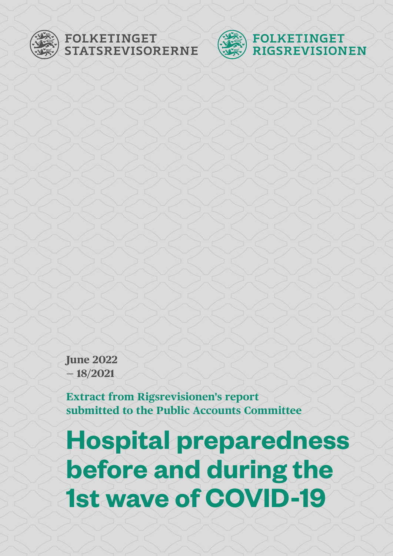

# FOLKETINGET<br>STATSREVISORERNE



**June 2022 — 18/2021**

**Extract from Rigsrevisionen's report submitted to the Public Accounts Committee**

**Hospital preparedness before and during the 1st wave of COVID-19**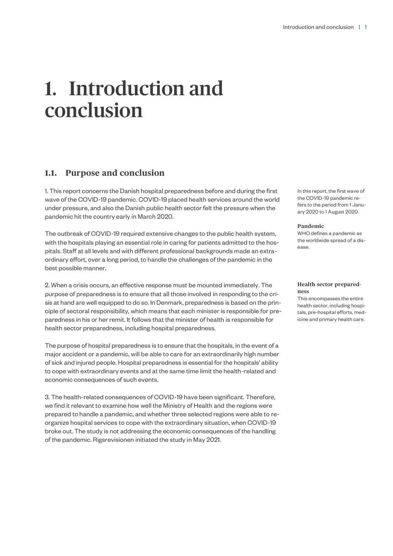## 1. Introduction and conclusion

### **1.1. Purpose and conclusion**

1. This report concerns the Danish hospital preparedness before and during the first wave of the COVID-19 pandemic. COVID-19 placed health services around the world under pressure, and also the Danish public health sector felt the pressure when the pandemic hit the country early in March 2020.

The outbreak of COVID-19 required extensive changes to the public health system, with the hospitals playing an essential role in caring for patients admitted to the hospitals. Staff at all levels and with different professional backgrounds made an extraordinary effort, over a long period, to handle the challenges of the pandemic in the best possible manner.

2. When a crisis occurs, an effective response must be mounted immediately. The purpose of preparedness is to ensure that all those involved in responding to the crisis at hand are well equipped to do so. In Denmark, preparedness is based on the principle of sectoral responsibility, which means that each minister is responsible for preparedness in his or her remit. It follows that the minister of health is responsible for health sector preparedness, including hospital preparedness.

The purpose of hospital preparedness is to ensure that the hospitals, in the event of a major accident or a pandemic, will be able to care for an extraordinarily high number of sick and injured people. Hospital preparedness is essential for the hospitals' ability to cope with extraordinary events and at the same time limit the health-related and economic consequences of such events.

3. The health-related consequences of COVID-19 have been significant. Therefore, we find it relevant to examine how well the Ministry of Health and the regions were prepared to handle a pandemic, and whether three selected regions were able to reorganize hospital services to cope with the extraordinary situation, when COVID-19 broke out. The study is not addressing the economic consequences of the handling of the pandemic. Rigsrevisionen initiated the study in May 2021.

In this report, the first wave of the COVID-19 pandemic refers to the period from 1 January 2020 to 1 August 2020.

#### **Pandemic**

WHO defines a pandemic as the worldwide spread of a disease.

### **Health sector preparedness**

This encompasses the entire health sector, including hospitals, pre-hospital efforts, medicine and primary health care.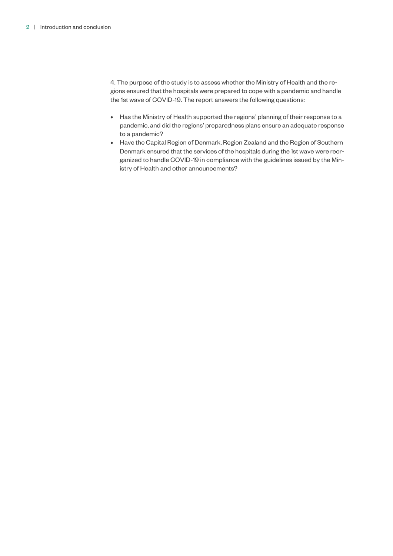4. The purpose of the study is to assess whether the Ministry of Health and the regions ensured that the hospitals were prepared to cope with a pandemic and handle the 1st wave of COVID-19. The report answers the following questions:

- Has the Ministry of Health supported the regions' planning of their response to a pandemic, and did the regions' preparedness plans ensure an adequate response to a pandemic?
- Have the Capital Region of Denmark, Region Zealand and the Region of Southern Denmark ensured that the services of the hospitals during the 1st wave were reorganized to handle COVID-19 in compliance with the guidelines issued by the Ministry of Health and other announcements?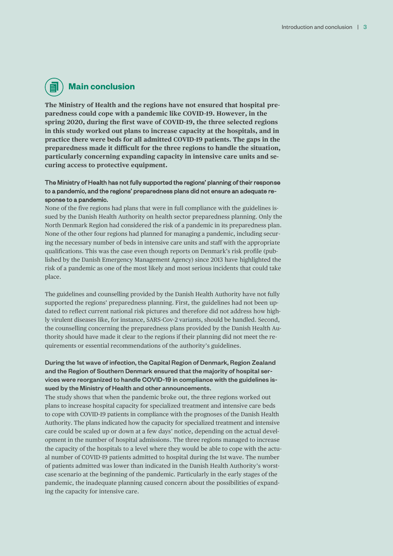### **Main conclusion**

**The Ministry of Health and the regions have not ensured that hospital preparedness could cope with a pandemic like COVID-19. However, in the spring 2020, during the first wave of COVID-19, the three selected regions in this study worked out plans to increase capacity at the hospitals, and in practice there were beds for all admitted COVID-19 patients. The gaps in the preparedness made it difficult for the three regions to handle the situation, particularly concerning expanding capacity in intensive care units and securing access to protective equipment.** 

### The Ministry of Health has not fully supported the regions' planning of their response to a pandemic, and the regions' preparedness plans did not ensure an adequate response to a pandemic.

None of the five regions had plans that were in full compliance with the guidelines issued by the Danish Health Authority on health sector preparedness planning. Only the North Denmark Region had considered the risk of a pandemic in its preparedness plan. None of the other four regions had planned for managing a pandemic, including securing the necessary number of beds in intensive care units and staff with the appropriate qualifications. This was the case even though reports on Denmark's risk profile (published by the Danish Emergency Management Agency) since 2013 have highlighted the risk of a pandemic as one of the most likely and most serious incidents that could take place.

The guidelines and counselling provided by the Danish Health Authority have not fully supported the regions' preparedness planning. First, the guidelines had not been updated to reflect current national risk pictures and therefore did not address how highly virulent diseases like, for instance, SARS-Cov-2 variants, should be handled. Second, the counselling concerning the preparedness plans provided by the Danish Health Authority should have made it clear to the regions if their planning did not meet the requirements or essential recommendations of the authority's guidelines.

### During the 1st wave of infection, the Capital Region of Denmark, Region Zealand and the Region of Southern Denmark ensured that the majority of hospital services were reorganized to handle COVID-19 in compliance with the guidelines issued by the Ministry of Health and other announcements.

The study shows that when the pandemic broke out, the three regions worked out plans to increase hospital capacity for specialized treatment and intensive care beds to cope with COVID-19 patients in compliance with the prognoses of the Danish Health Authority. The plans indicated how the capacity for specialized treatment and intensive care could be scaled up or down at a few days' notice, depending on the actual development in the number of hospital admissions. The three regions managed to increase the capacity of the hospitals to a level where they would be able to cope with the actual number of COVID-19 patients admitted to hospital during the 1st wave. The number of patients admitted was lower than indicated in the Danish Health Authority's worstcase scenario at the beginning of the pandemic. Particularly in the early stages of the pandemic, the inadequate planning caused concern about the possibilities of expanding the capacity for intensive care.